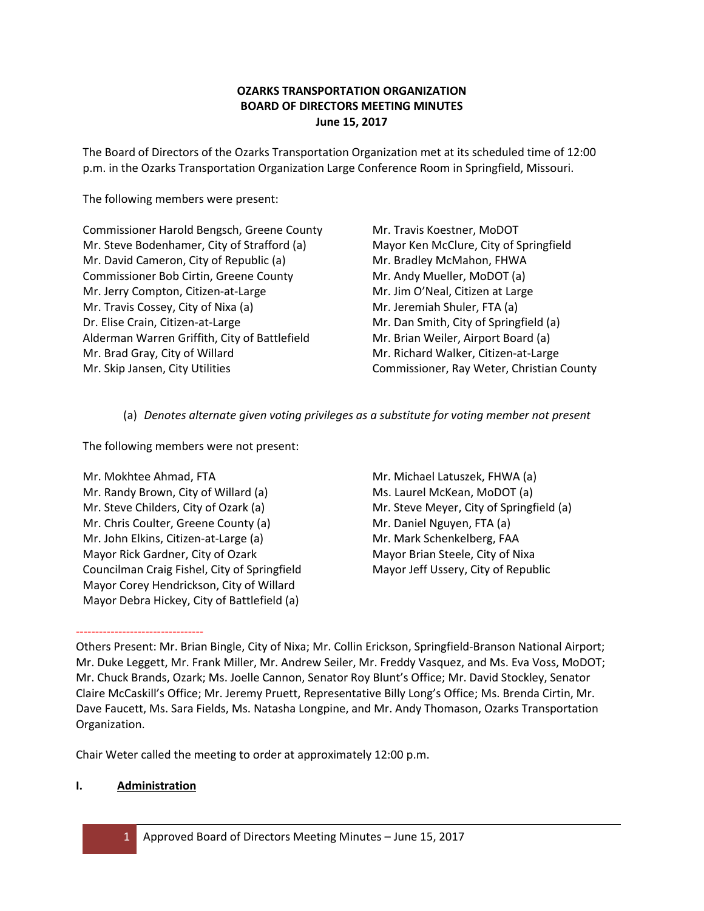# **OZARKS TRANSPORTATION ORGANIZATION BOARD OF DIRECTORS MEETING MINUTES June 15, 2017**

The Board of Directors of the Ozarks Transportation Organization met at its scheduled time of 12:00 p.m. in the Ozarks Transportation Organization Large Conference Room in Springfield, Missouri.

The following members were present:

Commissioner Harold Bengsch, Greene County Mr. Steve Bodenhamer, City of Strafford (a) Mr. David Cameron, City of Republic (a) Commissioner Bob Cirtin, Greene County Mr. Jerry Compton, Citizen-at-Large Mr. Travis Cossey, City of Nixa (a) Dr. Elise Crain, Citizen-at-Large Alderman Warren Griffith, City of Battlefield Mr. Brad Gray, City of Willard Mr. Skip Jansen, City Utilities

Mr. Travis Koestner, MoDOT Mayor Ken McClure, City of Springfield Mr. Bradley McMahon, FHWA Mr. Andy Mueller, MoDOT (a) Mr. Jim O'Neal, Citizen at Large Mr. Jeremiah Shuler, FTA (a) Mr. Dan Smith, City of Springfield (a) Mr. Brian Weiler, Airport Board (a) Mr. Richard Walker, Citizen-at-Large Commissioner, Ray Weter, Christian County

(a) *Denotes alternate given voting privileges as a substitute for voting member not present*

The following members were not present:

Mr. Mokhtee Ahmad, FTA Mr. Randy Brown, City of Willard (a) Mr. Steve Childers, City of Ozark (a) Mr. Chris Coulter, Greene County (a) Mr. John Elkins, Citizen-at-Large (a) Mayor Rick Gardner, City of Ozark Councilman Craig Fishel, City of Springfield Mayor Corey Hendrickson, City of Willard Mayor Debra Hickey, City of Battlefield (a)

Mr. Michael Latuszek, FHWA (a) Ms. Laurel McKean, MoDOT (a) Mr. Steve Meyer, City of Springfield (a) Mr. Daniel Nguyen, FTA (a) Mr. Mark Schenkelberg, FAA Mayor Brian Steele, City of Nixa Mayor Jeff Ussery, City of Republic

--------------------------------- Others Present: Mr. Brian Bingle, City of Nixa; Mr. Collin Erickson, Springfield-Branson National Airport; Mr. Duke Leggett, Mr. Frank Miller, Mr. Andrew Seiler, Mr. Freddy Vasquez, and Ms. Eva Voss, MoDOT; Mr. Chuck Brands, Ozark; Ms. Joelle Cannon, Senator Roy Blunt's Office; Mr. David Stockley, Senator Claire McCaskill's Office; Mr. Jeremy Pruett, Representative Billy Long's Office; Ms. Brenda Cirtin, Mr. Dave Faucett, Ms. Sara Fields, Ms. Natasha Longpine, and Mr. Andy Thomason, Ozarks Transportation Organization.

Chair Weter called the meeting to order at approximately 12:00 p.m.

# **I. Administration**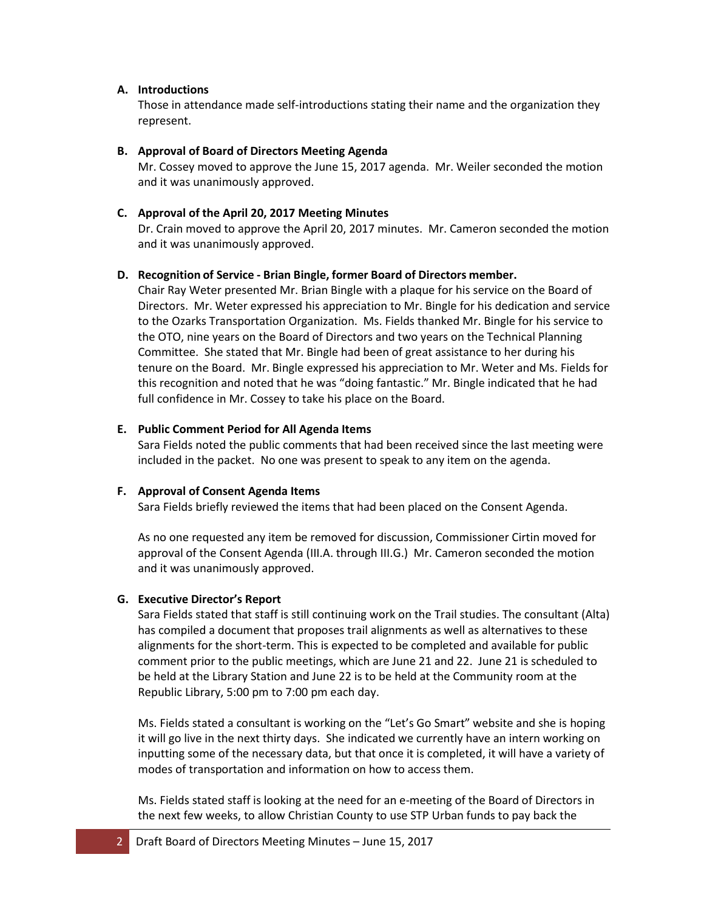#### **A. Introductions**

Those in attendance made self-introductions stating their name and the organization they represent.

## **B. Approval of Board of Directors Meeting Agenda**

Mr. Cossey moved to approve the June 15, 2017 agenda. Mr. Weiler seconded the motion and it was unanimously approved.

## **C. Approval of the April 20, 2017 Meeting Minutes**

Dr. Crain moved to approve the April 20, 2017 minutes. Mr. Cameron seconded the motion and it was unanimously approved.

## **D. Recognition of Service ‐ Brian Bingle, former Board of Directors member.**

Chair Ray Weter presented Mr. Brian Bingle with a plaque for his service on the Board of Directors. Mr. Weter expressed his appreciation to Mr. Bingle for his dedication and service to the Ozarks Transportation Organization. Ms. Fields thanked Mr. Bingle for his service to the OTO, nine years on the Board of Directors and two years on the Technical Planning Committee. She stated that Mr. Bingle had been of great assistance to her during his tenure on the Board. Mr. Bingle expressed his appreciation to Mr. Weter and Ms. Fields for this recognition and noted that he was "doing fantastic." Mr. Bingle indicated that he had full confidence in Mr. Cossey to take his place on the Board.

## **E. Public Comment Period for All Agenda Items**

Sara Fields noted the public comments that had been received since the last meeting were included in the packet. No one was present to speak to any item on the agenda.

#### **F. Approval of Consent Agenda Items**

Sara Fields briefly reviewed the items that had been placed on the Consent Agenda.

As no one requested any item be removed for discussion, Commissioner Cirtin moved for approval of the Consent Agenda (III.A. through III.G.) Mr. Cameron seconded the motion and it was unanimously approved.

#### **G. Executive Director's Report**

Sara Fields stated that staff is still continuing work on the Trail studies. The consultant (Alta) has compiled a document that proposes trail alignments as well as alternatives to these alignments for the short-term. This is expected to be completed and available for public comment prior to the public meetings, which are June 21 and 22. June 21 is scheduled to be held at the Library Station and June 22 is to be held at the Community room at the Republic Library, 5:00 pm to 7:00 pm each day.

Ms. Fields stated a consultant is working on the "Let's Go Smart" website and she is hoping it will go live in the next thirty days. She indicated we currently have an intern working on inputting some of the necessary data, but that once it is completed, it will have a variety of modes of transportation and information on how to access them.

Ms. Fields stated staff is looking at the need for an e-meeting of the Board of Directors in the next few weeks, to allow Christian County to use STP Urban funds to pay back the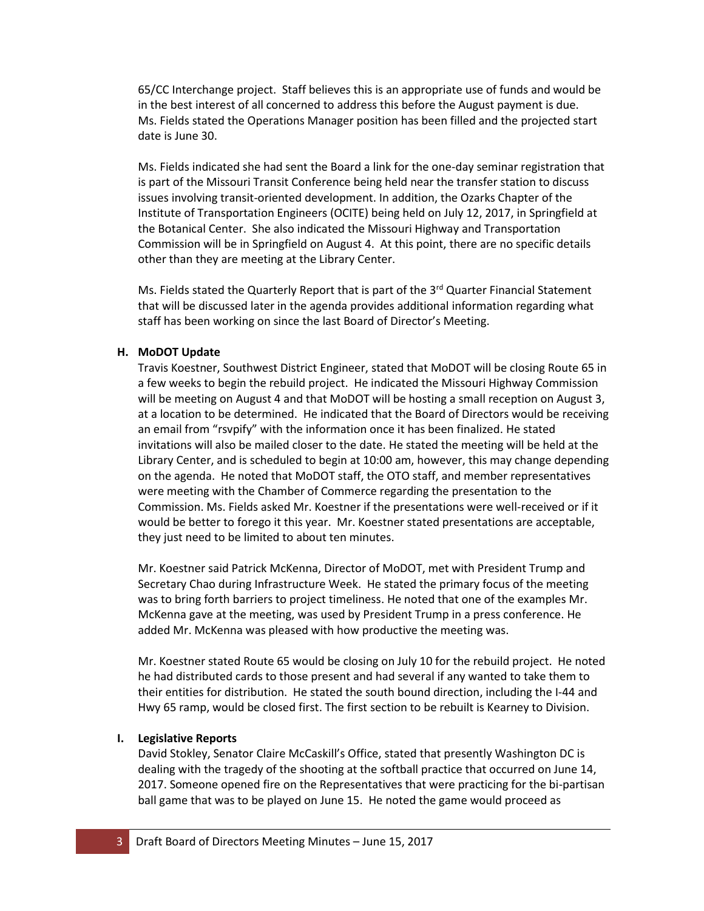65/CC Interchange project. Staff believes this is an appropriate use of funds and would be in the best interest of all concerned to address this before the August payment is due. Ms. Fields stated the Operations Manager position has been filled and the projected start date is June 30.

Ms. Fields indicated she had sent the Board a link for the one-day seminar registration that is part of the Missouri Transit Conference being held near the transfer station to discuss issues involving transit-oriented development. In addition, the Ozarks Chapter of the Institute of Transportation Engineers (OCITE) being held on July 12, 2017, in Springfield at the Botanical Center. She also indicated the Missouri Highway and Transportation Commission will be in Springfield on August 4. At this point, there are no specific details other than they are meeting at the Library Center.

Ms. Fields stated the Quarterly Report that is part of the 3<sup>rd</sup> Quarter Financial Statement that will be discussed later in the agenda provides additional information regarding what staff has been working on since the last Board of Director's Meeting.

# **H. MoDOT Update**

Travis Koestner, Southwest District Engineer, stated that MoDOT will be closing Route 65 in a few weeks to begin the rebuild project. He indicated the Missouri Highway Commission will be meeting on August 4 and that MoDOT will be hosting a small reception on August 3, at a location to be determined. He indicated that the Board of Directors would be receiving an email from "rsvpify" with the information once it has been finalized. He stated invitations will also be mailed closer to the date. He stated the meeting will be held at the Library Center, and is scheduled to begin at 10:00 am, however, this may change depending on the agenda. He noted that MoDOT staff, the OTO staff, and member representatives were meeting with the Chamber of Commerce regarding the presentation to the Commission. Ms. Fields asked Mr. Koestner if the presentations were well-received or if it would be better to forego it this year. Mr. Koestner stated presentations are acceptable, they just need to be limited to about ten minutes.

Mr. Koestner said Patrick McKenna, Director of MoDOT, met with President Trump and Secretary Chao during Infrastructure Week. He stated the primary focus of the meeting was to bring forth barriers to project timeliness. He noted that one of the examples Mr. McKenna gave at the meeting, was used by President Trump in a press conference. He added Mr. McKenna was pleased with how productive the meeting was.

Mr. Koestner stated Route 65 would be closing on July 10 for the rebuild project. He noted he had distributed cards to those present and had several if any wanted to take them to their entities for distribution. He stated the south bound direction, including the I-44 and Hwy 65 ramp, would be closed first. The first section to be rebuilt is Kearney to Division.

# **I. Legislative Reports**

David Stokley, Senator Claire McCaskill's Office, stated that presently Washington DC is dealing with the tragedy of the shooting at the softball practice that occurred on June 14, 2017. Someone opened fire on the Representatives that were practicing for the bi-partisan ball game that was to be played on June 15. He noted the game would proceed as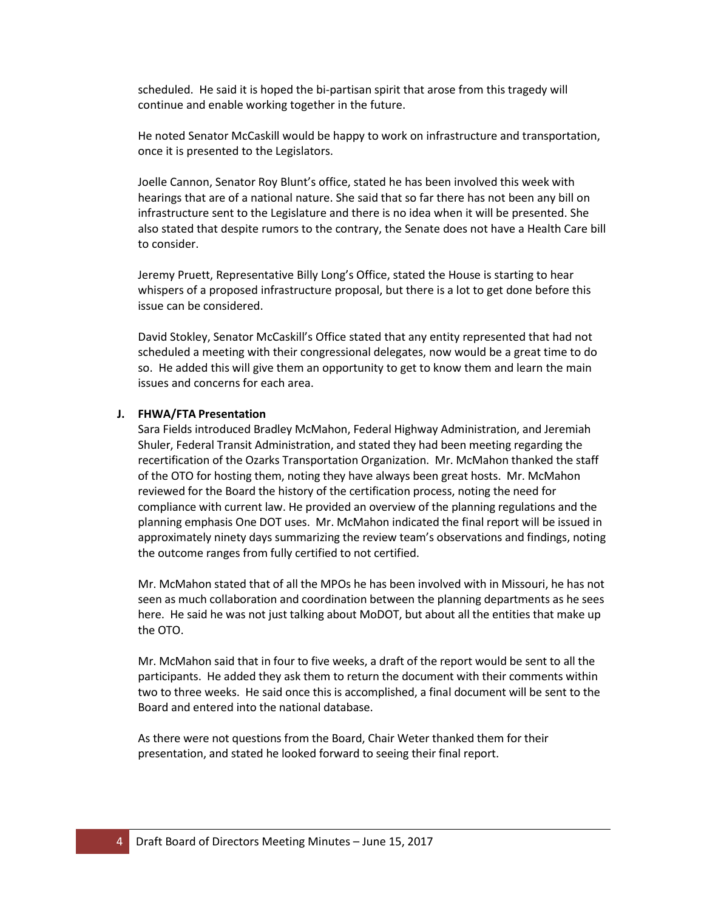scheduled. He said it is hoped the bi-partisan spirit that arose from this tragedy will continue and enable working together in the future.

He noted Senator McCaskill would be happy to work on infrastructure and transportation, once it is presented to the Legislators.

Joelle Cannon, Senator Roy Blunt's office, stated he has been involved this week with hearings that are of a national nature. She said that so far there has not been any bill on infrastructure sent to the Legislature and there is no idea when it will be presented. She also stated that despite rumors to the contrary, the Senate does not have a Health Care bill to consider.

Jeremy Pruett, Representative Billy Long's Office, stated the House is starting to hear whispers of a proposed infrastructure proposal, but there is a lot to get done before this issue can be considered.

David Stokley, Senator McCaskill's Office stated that any entity represented that had not scheduled a meeting with their congressional delegates, now would be a great time to do so. He added this will give them an opportunity to get to know them and learn the main issues and concerns for each area.

#### **J. FHWA/FTA Presentation**

Sara Fields introduced Bradley McMahon, Federal Highway Administration, and Jeremiah Shuler, Federal Transit Administration, and stated they had been meeting regarding the recertification of the Ozarks Transportation Organization. Mr. McMahon thanked the staff of the OTO for hosting them, noting they have always been great hosts. Mr. McMahon reviewed for the Board the history of the certification process, noting the need for compliance with current law. He provided an overview of the planning regulations and the planning emphasis One DOT uses. Mr. McMahon indicated the final report will be issued in approximately ninety days summarizing the review team's observations and findings, noting the outcome ranges from fully certified to not certified.

Mr. McMahon stated that of all the MPOs he has been involved with in Missouri, he has not seen as much collaboration and coordination between the planning departments as he sees here. He said he was not just talking about MoDOT, but about all the entities that make up the OTO.

Mr. McMahon said that in four to five weeks, a draft of the report would be sent to all the participants. He added they ask them to return the document with their comments within two to three weeks. He said once this is accomplished, a final document will be sent to the Board and entered into the national database.

As there were not questions from the Board, Chair Weter thanked them for their presentation, and stated he looked forward to seeing their final report.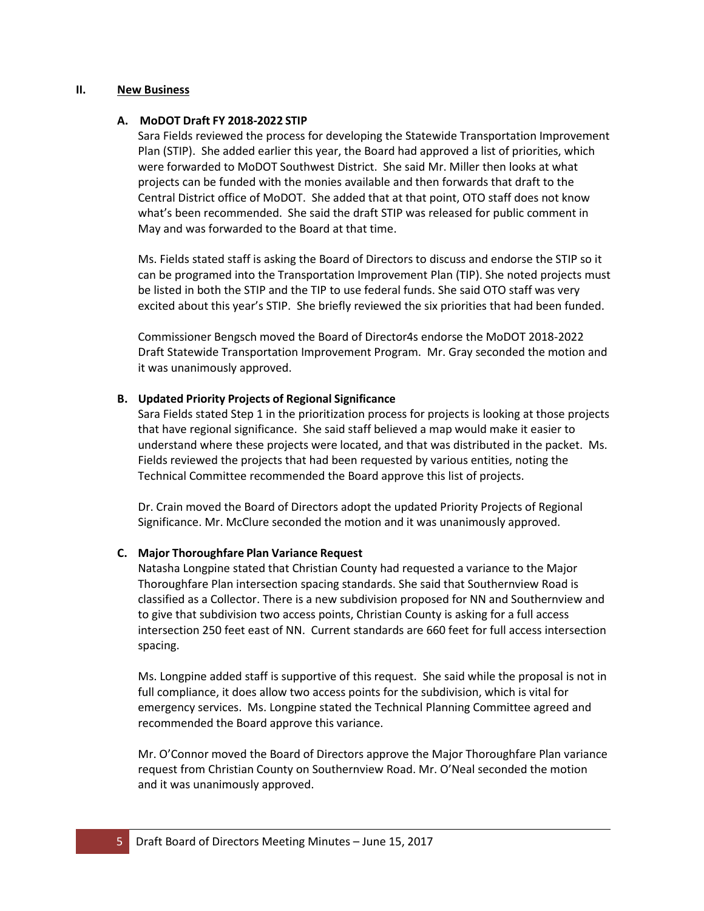#### **II. New Business**

#### **A. MoDOT Draft FY 2018‐2022 STIP**

Sara Fields reviewed the process for developing the Statewide Transportation Improvement Plan (STIP). She added earlier this year, the Board had approved a list of priorities, which were forwarded to MoDOT Southwest District. She said Mr. Miller then looks at what projects can be funded with the monies available and then forwards that draft to the Central District office of MoDOT. She added that at that point, OTO staff does not know what's been recommended. She said the draft STIP was released for public comment in May and was forwarded to the Board at that time.

Ms. Fields stated staff is asking the Board of Directors to discuss and endorse the STIP so it can be programed into the Transportation Improvement Plan (TIP). She noted projects must be listed in both the STIP and the TIP to use federal funds. She said OTO staff was very excited about this year's STIP. She briefly reviewed the six priorities that had been funded.

Commissioner Bengsch moved the Board of Director4s endorse the MoDOT 2018-2022 Draft Statewide Transportation Improvement Program. Mr. Gray seconded the motion and it was unanimously approved.

## **B. Updated Priority Projects of Regional Significance**

Sara Fields stated Step 1 in the prioritization process for projects is looking at those projects that have regional significance. She said staff believed a map would make it easier to understand where these projects were located, and that was distributed in the packet. Ms. Fields reviewed the projects that had been requested by various entities, noting the Technical Committee recommended the Board approve this list of projects.

Dr. Crain moved the Board of Directors adopt the updated Priority Projects of Regional Significance. Mr. McClure seconded the motion and it was unanimously approved.

#### **C. Major Thoroughfare Plan Variance Request**

Natasha Longpine stated that Christian County had requested a variance to the Major Thoroughfare Plan intersection spacing standards. She said that Southernview Road is classified as a Collector. There is a new subdivision proposed for NN and Southernview and to give that subdivision two access points, Christian County is asking for a full access intersection 250 feet east of NN. Current standards are 660 feet for full access intersection spacing.

Ms. Longpine added staff is supportive of this request. She said while the proposal is not in full compliance, it does allow two access points for the subdivision, which is vital for emergency services. Ms. Longpine stated the Technical Planning Committee agreed and recommended the Board approve this variance.

Mr. O'Connor moved the Board of Directors approve the Major Thoroughfare Plan variance request from Christian County on Southernview Road. Mr. O'Neal seconded the motion and it was unanimously approved.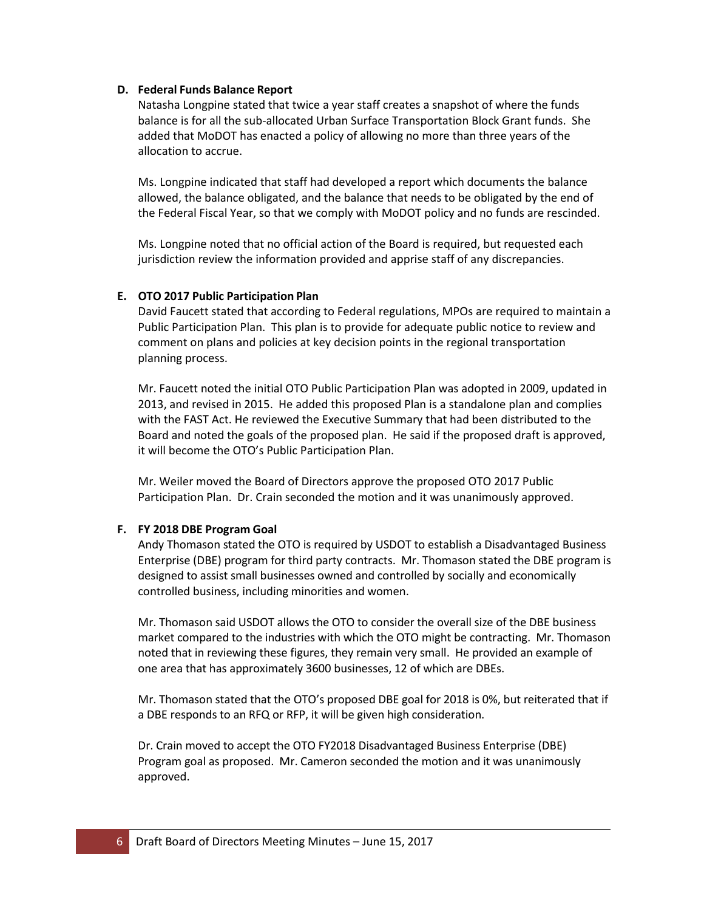#### **D. Federal Funds Balance Report**

Natasha Longpine stated that twice a year staff creates a snapshot of where the funds balance is for all the sub-allocated Urban Surface Transportation Block Grant funds. She added that MoDOT has enacted a policy of allowing no more than three years of the allocation to accrue.

Ms. Longpine indicated that staff had developed a report which documents the balance allowed, the balance obligated, and the balance that needs to be obligated by the end of the Federal Fiscal Year, so that we comply with MoDOT policy and no funds are rescinded.

Ms. Longpine noted that no official action of the Board is required, but requested each jurisdiction review the information provided and apprise staff of any discrepancies.

## **E. OTO 2017 Public Participation Plan**

David Faucett stated that according to Federal regulations, MPOs are required to maintain a Public Participation Plan. This plan is to provide for adequate public notice to review and comment on plans and policies at key decision points in the regional transportation planning process.

Mr. Faucett noted the initial OTO Public Participation Plan was adopted in 2009, updated in 2013, and revised in 2015. He added this proposed Plan is a standalone plan and complies with the FAST Act. He reviewed the Executive Summary that had been distributed to the Board and noted the goals of the proposed plan. He said if the proposed draft is approved, it will become the OTO's Public Participation Plan.

Mr. Weiler moved the Board of Directors approve the proposed OTO 2017 Public Participation Plan. Dr. Crain seconded the motion and it was unanimously approved.

# **F. FY 2018 DBE Program Goal**

Andy Thomason stated the OTO is required by USDOT to establish a Disadvantaged Business Enterprise (DBE) program for third party contracts. Mr. Thomason stated the DBE program is designed to assist small businesses owned and controlled by socially and economically controlled business, including minorities and women.

Mr. Thomason said USDOT allows the OTO to consider the overall size of the DBE business market compared to the industries with which the OTO might be contracting. Mr. Thomason noted that in reviewing these figures, they remain very small. He provided an example of one area that has approximately 3600 businesses, 12 of which are DBEs.

Mr. Thomason stated that the OTO's proposed DBE goal for 2018 is 0%, but reiterated that if a DBE responds to an RFQ or RFP, it will be given high consideration.

Dr. Crain moved to accept the OTO FY2018 Disadvantaged Business Enterprise (DBE) Program goal as proposed. Mr. Cameron seconded the motion and it was unanimously approved.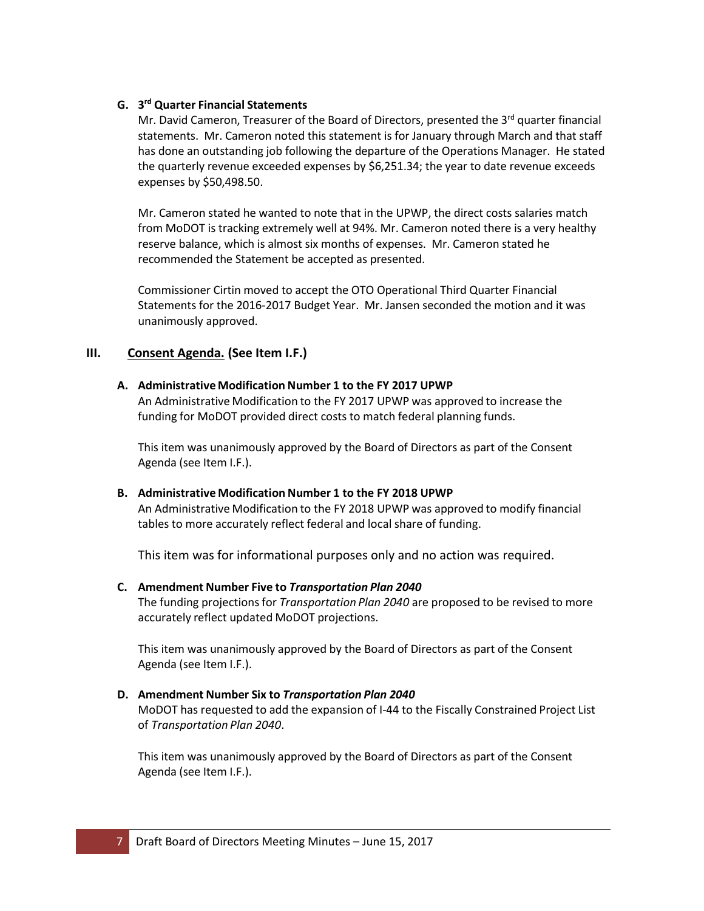# **G. 3 rd Quarter Financial Statements**

Mr. David Cameron, Treasurer of the Board of Directors, presented the 3<sup>rd</sup> quarter financial statements. Mr. Cameron noted this statement is for January through March and that staff has done an outstanding job following the departure of the Operations Manager. He stated the quarterly revenue exceeded expenses by \$6,251.34; the year to date revenue exceeds expenses by \$50,498.50.

Mr. Cameron stated he wanted to note that in the UPWP, the direct costs salaries match from MoDOT is tracking extremely well at 94%. Mr. Cameron noted there is a very healthy reserve balance, which is almost six months of expenses. Mr. Cameron stated he recommended the Statement be accepted as presented.

Commissioner Cirtin moved to accept the OTO Operational Third Quarter Financial Statements for the 2016-2017 Budget Year. Mr. Jansen seconded the motion and it was unanimously approved.

# **III. Consent Agenda. (See Item I.F.)**

## **A. Administrative Modification Number 1 to the FY 2017 UPWP**

An Administrative Modification to the FY 2017 UPWP was approved to increase the funding for MoDOT provided direct costs to match federal planning funds.

This item was unanimously approved by the Board of Directors as part of the Consent Agenda (see Item I.F.).

## **B. Administrative Modification Number 1 to the FY 2018 UPWP**

An Administrative Modification to the FY 2018 UPWP was approved to modify financial tables to more accurately reflect federal and local share of funding.

This item was for informational purposes only and no action was required.

#### **C. Amendment Number Five to** *Transportation Plan 2040*

The funding projectionsfor *Transportation Plan 2040* are proposed to be revised to more accurately reflect updated MoDOT projections.

This item was unanimously approved by the Board of Directors as part of the Consent Agenda (see Item I.F.).

## **D. Amendment Number Six to** *Transportation Plan 2040* MoDOT has requested to add the expansion of I‐44 to the Fiscally Constrained Project List of *Transportation Plan 2040*.

This item was unanimously approved by the Board of Directors as part of the Consent Agenda (see Item I.F.).